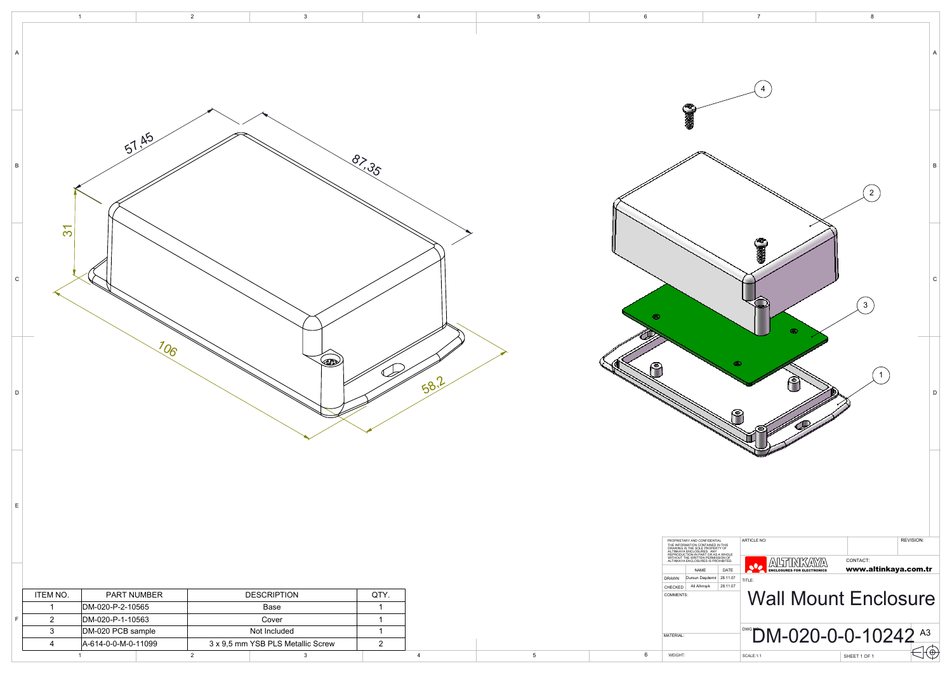

WEIGHT:

4

| $\mathsf A$     |                          | $\mathbf{1}$        | $\overline{2}$<br>$\mathbf{3}$    | $\overline{4}$ | $5\overline{)}$ | $6\phantom{.0}$<br>C                                                                                                                                                                                                                                                  | $\overline{7}$                                                                                                 |
|-----------------|--------------------------|---------------------|-----------------------------------|----------------|-----------------|-----------------------------------------------------------------------------------------------------------------------------------------------------------------------------------------------------------------------------------------------------------------------|----------------------------------------------------------------------------------------------------------------|
| $\, {\bf B} \,$ | $\overline{\mathcal{S}}$ | 51.45               |                                   | $\frac{8}{3}$  |                 |                                                                                                                                                                                                                                                                       |                                                                                                                |
| ${\rm c}$       |                          |                     |                                   |                |                 | $\bullet$                                                                                                                                                                                                                                                             | $\binom{3}{2}$<br>$\widehat{\mathbf{3}}$<br>$\bullet$                                                          |
| $\mathsf D$     |                          | 106                 | $\langle 1 \rangle$               | 58.2           |                 | 74<br>۴                                                                                                                                                                                                                                                               | 0<br>ူ                                                                                                         |
| $\mathsf E$     |                          |                     |                                   |                |                 | PROPRIETARY AND CONFIDENTIAL<br>THE INFORMATION CONTAINED IN THIS<br>DRAWING IS THE SOLE PROPERTY OF<br>ALTINKAYA ENCLOSURES. ANY<br>REPRODUCTION IN PART OR AS<br>A WITHOUT THE WRITTEN PERMISSION OF<br>ALTINKAYA ENCLOSURES IS PROHIBITED.<br>NAME<br><b>DRAWN</b> | ARTICLE NO:<br><b>ALTINKAYA</b><br>CONTACT:<br><b>ANSUMMANIAN</b><br>www.a<br>DATE<br>Dursun Daşdemir 28.11.07 |
|                 | <b>ITEM NO.</b>          | PART NUMBER         | <b>DESCRIPTION</b>                | QTY.           |                 | CHECKED<br><b>COMMENTS:</b>                                                                                                                                                                                                                                           | TITLE:<br>Ali Altınışık 28.11.07                                                                               |
|                 | $\overline{\mathbf{1}}$  | DM-020-P-2-10565    | Base                              | $\overline{1}$ |                 |                                                                                                                                                                                                                                                                       | <b>Wall Mount En</b>                                                                                           |
| $\mathsf F$     | $\overline{2}$           | DM-020-P-1-10563    | Cover                             | $\overline{1}$ |                 |                                                                                                                                                                                                                                                                       |                                                                                                                |
|                 | $\mathbf{3}$             | DM-020 PCB sample   | Not Included                      | $\overline{1}$ |                 | MATERIAL:                                                                                                                                                                                                                                                             | <b>DM-020-0-0-1</b>                                                                                            |
|                 | $\overline{4}$           | A-614-0-0-M-0-11099 | 3 x 9,5 mm YSB PLS Metallic Screw | $\overline{2}$ |                 |                                                                                                                                                                                                                                                                       |                                                                                                                |

1 and  $\begin{array}{ccc} 1 & 2 & 3 \end{array}$ 

5

6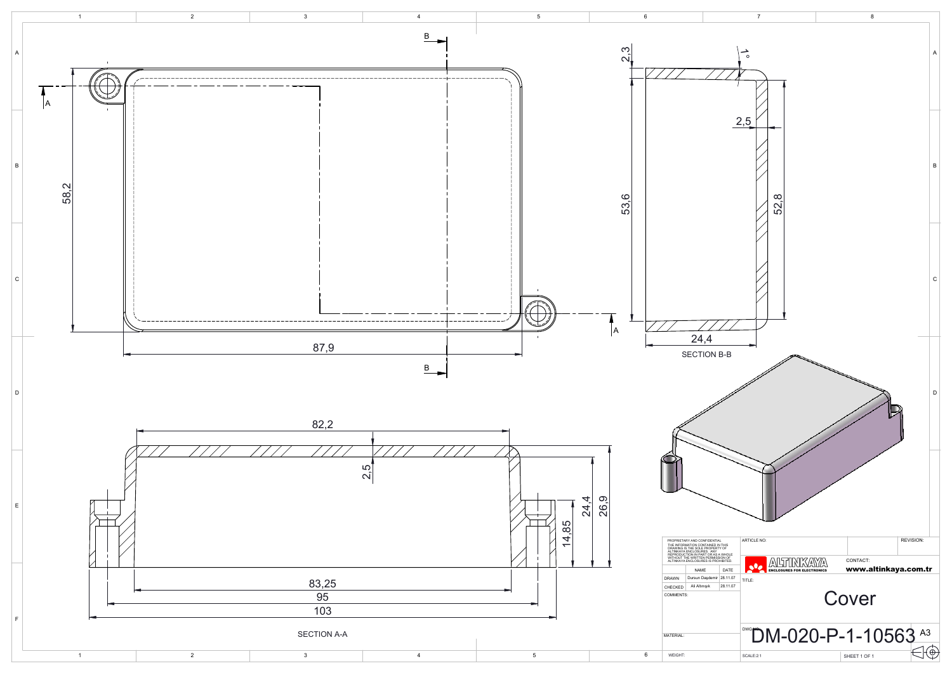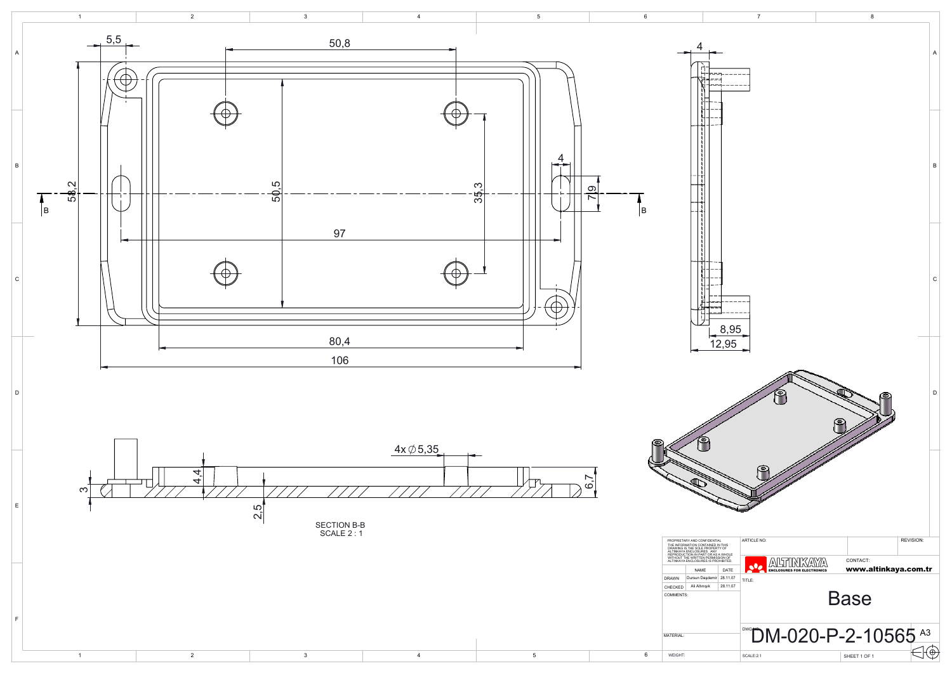

D

E

F

1 and  $\begin{array}{ccc} 1 & 2 & 3 \end{array}$ 





4

5

6